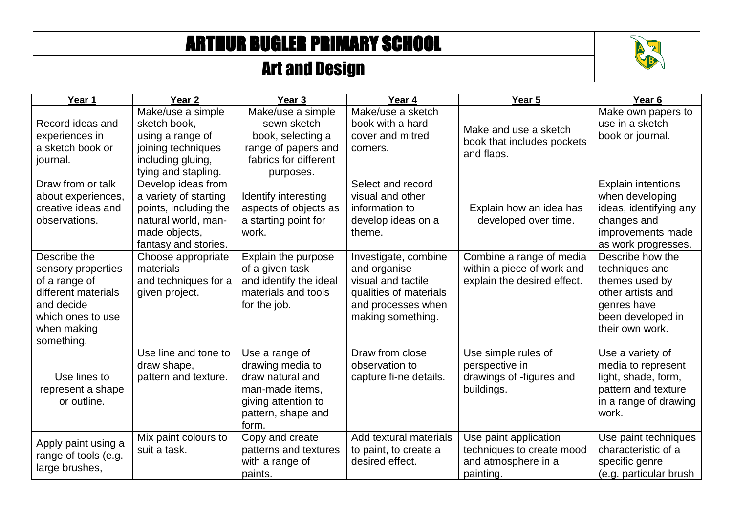## ARTHUR BUGLER PRIMARY SCHOOL

## Art and Design



| Year 1                                                                                                                                     | Year <sub>2</sub>                                                                                                                    | Year <sub>3</sub>                                                                                                               | Year 4                                                                                                                          | Year 5                                                                                 | Year <sub>6</sub>                                                                                                                 |
|--------------------------------------------------------------------------------------------------------------------------------------------|--------------------------------------------------------------------------------------------------------------------------------------|---------------------------------------------------------------------------------------------------------------------------------|---------------------------------------------------------------------------------------------------------------------------------|----------------------------------------------------------------------------------------|-----------------------------------------------------------------------------------------------------------------------------------|
| Record ideas and<br>experiences in<br>a sketch book or<br>journal.                                                                         | Make/use a simple<br>sketch book,<br>using a range of<br>joining techniques<br>including gluing,<br>tying and stapling.              | Make/use a simple<br>sewn sketch<br>book, selecting a<br>range of papers and<br>fabrics for different<br>purposes.              | Make/use a sketch<br>book with a hard<br>cover and mitred<br>corners.                                                           | Make and use a sketch<br>book that includes pockets<br>and flaps.                      | Make own papers to<br>use in a sketch<br>book or journal.                                                                         |
| Draw from or talk<br>about experiences,<br>creative ideas and<br>observations.                                                             | Develop ideas from<br>a variety of starting<br>points, including the<br>natural world, man-<br>made objects,<br>fantasy and stories. | Identify interesting<br>aspects of objects as<br>a starting point for<br>work.                                                  | Select and record<br>visual and other<br>information to<br>develop ideas on a<br>theme.                                         | Explain how an idea has<br>developed over time.                                        | <b>Explain intentions</b><br>when developing<br>ideas, identifying any<br>changes and<br>improvements made<br>as work progresses. |
| Describe the<br>sensory properties<br>of a range of<br>different materials<br>and decide<br>which ones to use<br>when making<br>something. | Choose appropriate<br>materials<br>and techniques for a<br>given project.                                                            | Explain the purpose<br>of a given task<br>and identify the ideal<br>materials and tools<br>for the job.                         | Investigate, combine<br>and organise<br>visual and tactile<br>qualities of materials<br>and processes when<br>making something. | Combine a range of media<br>within a piece of work and<br>explain the desired effect.  | Describe how the<br>techniques and<br>themes used by<br>other artists and<br>genres have<br>been developed in<br>their own work.  |
| Use lines to<br>represent a shape<br>or outline.                                                                                           | Use line and tone to<br>draw shape,<br>pattern and texture.                                                                          | Use a range of<br>drawing media to<br>draw natural and<br>man-made items,<br>giving attention to<br>pattern, shape and<br>form. | Draw from close<br>observation to<br>capture fi-ne details.                                                                     | Use simple rules of<br>perspective in<br>drawings of -figures and<br>buildings.        | Use a variety of<br>media to represent<br>light, shade, form,<br>pattern and texture<br>in a range of drawing<br>work.            |
| Apply paint using a<br>range of tools (e.g.<br>large brushes,                                                                              | Mix paint colours to<br>suit a task.                                                                                                 | Copy and create<br>patterns and textures<br>with a range of<br>paints.                                                          | Add textural materials<br>to paint, to create a<br>desired effect.                                                              | Use paint application<br>techniques to create mood<br>and atmosphere in a<br>painting. | Use paint techniques<br>characteristic of a<br>specific genre<br>(e.g. particular brush                                           |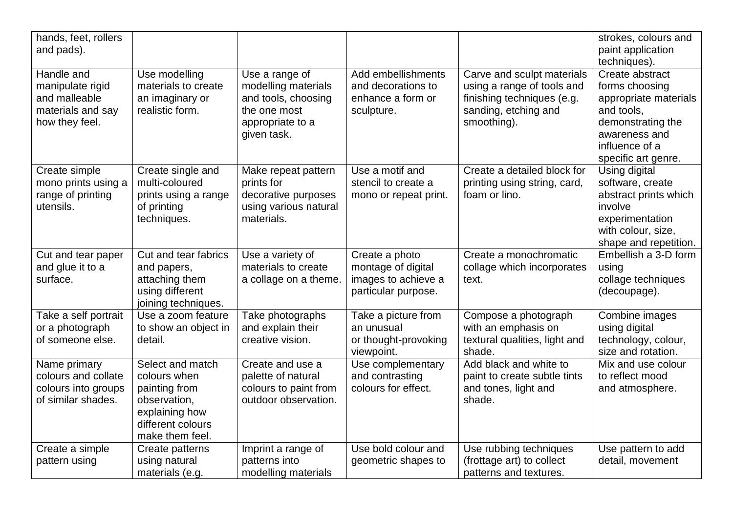| hands, feet, rollers<br>and pads).                                                     |                                                                                                                             |                                                                                                                 |                                                                                    |                                                                                                                               | strokes, colours and<br>paint application<br>techniques).                                                                                               |
|----------------------------------------------------------------------------------------|-----------------------------------------------------------------------------------------------------------------------------|-----------------------------------------------------------------------------------------------------------------|------------------------------------------------------------------------------------|-------------------------------------------------------------------------------------------------------------------------------|---------------------------------------------------------------------------------------------------------------------------------------------------------|
| Handle and<br>manipulate rigid<br>and malleable<br>materials and say<br>how they feel. | Use modelling<br>materials to create<br>an imaginary or<br>realistic form.                                                  | Use a range of<br>modelling materials<br>and tools, choosing<br>the one most<br>appropriate to a<br>given task. | Add embellishments<br>and decorations to<br>enhance a form or<br>sculpture.        | Carve and sculpt materials<br>using a range of tools and<br>finishing techniques (e.g.<br>sanding, etching and<br>smoothing). | Create abstract<br>forms choosing<br>appropriate materials<br>and tools,<br>demonstrating the<br>awareness and<br>influence of a<br>specific art genre. |
| Create simple<br>mono prints using a<br>range of printing<br>utensils.                 | Create single and<br>multi-coloured<br>prints using a range<br>of printing<br>techniques.                                   | Make repeat pattern<br>prints for<br>decorative purposes<br>using various natural<br>materials.                 | Use a motif and<br>stencil to create a<br>mono or repeat print.                    | Create a detailed block for<br>printing using string, card,<br>foam or lino.                                                  | Using digital<br>software, create<br>abstract prints which<br>involve<br>experimentation<br>with colour, size,<br>shape and repetition.                 |
| Cut and tear paper<br>and glue it to a<br>surface.                                     | Cut and tear fabrics<br>and papers,<br>attaching them<br>using different<br>joining techniques.                             | Use a variety of<br>materials to create<br>a collage on a theme.                                                | Create a photo<br>montage of digital<br>images to achieve a<br>particular purpose. | Create a monochromatic<br>collage which incorporates<br>text.                                                                 | Embellish a 3-D form<br>using<br>collage techniques<br>(decoupage).                                                                                     |
| Take a self portrait<br>or a photograph<br>of someone else.                            | Use a zoom feature<br>to show an object in<br>detail.                                                                       | Take photographs<br>and explain their<br>creative vision.                                                       | Take a picture from<br>an unusual<br>or thought-provoking<br>viewpoint.            | Compose a photograph<br>with an emphasis on<br>textural qualities, light and<br>shade.                                        | Combine images<br>using digital<br>technology, colour,<br>size and rotation.                                                                            |
| Name primary<br>colours and collate<br>colours into groups<br>of similar shades.       | Select and match<br>colours when<br>painting from<br>observation,<br>explaining how<br>different colours<br>make them feel. | Create and use a<br>palette of natural<br>colours to paint from<br>outdoor observation.                         | Use complementary<br>and contrasting<br>colours for effect.                        | Add black and white to<br>paint to create subtle tints<br>and tones, light and<br>shade.                                      | Mix and use colour<br>to reflect mood<br>and atmosphere.                                                                                                |
| Create a simple<br>pattern using                                                       | Create patterns<br>using natural<br>materials (e.g.                                                                         | Imprint a range of<br>patterns into<br>modelling materials                                                      | Use bold colour and<br>geometric shapes to                                         | Use rubbing techniques<br>(frottage art) to collect<br>patterns and textures.                                                 | Use pattern to add<br>detail, movement                                                                                                                  |